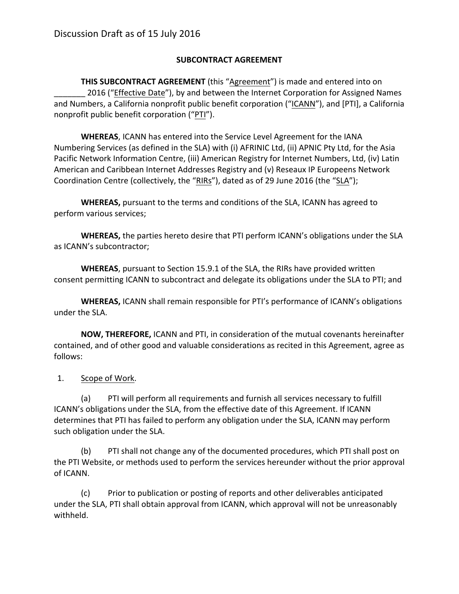## **SUBCONTRACT AGREEMENT**

**THIS SUBCONTRACT AGREEMENT** (this "Agreement") is made and entered into on 2016 ("Effective Date"), by and between the Internet Corporation for Assigned Names and Numbers, a California nonprofit public benefit corporation ("ICANN"), and [PTI], a California nonprofit public benefit corporation ("PTI").

**WHEREAS**, ICANN has entered into the Service Level Agreement for the IANA Numbering Services (as defined in the SLA) with (i) AFRINIC Ltd, (ii) APNIC Pty Ltd, for the Asia Pacific Network Information Centre, (iii) American Registry for Internet Numbers, Ltd, (iv) Latin American and Caribbean Internet Addresses Registry and (v) Reseaux IP Europeens Network Coordination Centre (collectively, the "RIRs"), dated as of 29 June 2016 (the "SLA");

**WHEREAS,** pursuant to the terms and conditions of the SLA, ICANN has agreed to perform various services;

**WHEREAS,** the parties hereto desire that PTI perform ICANN's obligations under the SLA as ICANN's subcontractor;

**WHEREAS**, pursuant to Section 15.9.1 of the SLA, the RIRs have provided written consent permitting ICANN to subcontract and delegate its obligations under the SLA to PTI; and

**WHEREAS,** ICANN shall remain responsible for PTI's performance of ICANN's obligations under the SLA.

**NOW, THEREFORE, ICANN** and PTI, in consideration of the mutual covenants hereinafter contained, and of other good and valuable considerations as recited in this Agreement, agree as follows:

1. Scope of Work.

(a) PTI will perform all requirements and furnish all services necessary to fulfill ICANN's obligations under the SLA, from the effective date of this Agreement. If ICANN determines that PTI has failed to perform any obligation under the SLA, ICANN may perform such obligation under the SLA.

(b) PTI shall not change any of the documented procedures, which PTI shall post on the PTI Website, or methods used to perform the services hereunder without the prior approval of ICANN.

(c) Prior to publication or posting of reports and other deliverables anticipated under the SLA, PTI shall obtain approval from ICANN, which approval will not be unreasonably withheld.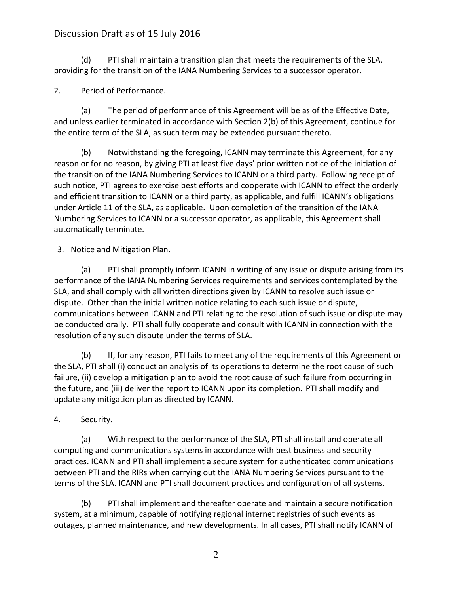(d) PTI shall maintain a transition plan that meets the requirements of the SLA, providing for the transition of the IANA Numbering Services to a successor operator.

## 2. Period of Performance.

(a) The period of performance of this Agreement will be as of the Effective Date, and unless earlier terminated in accordance with Section 2(b) of this Agreement, continue for the entire term of the SLA, as such term may be extended pursuant thereto.

(b) Notwithstanding the foregoing, ICANN may terminate this Agreement, for any reason or for no reason, by giving PTI at least five days' prior written notice of the initiation of the transition of the IANA Numbering Services to ICANN or a third party. Following receipt of such notice, PTI agrees to exercise best efforts and cooperate with ICANN to effect the orderly and efficient transition to ICANN or a third party, as applicable, and fulfill ICANN's obligations under Article 11 of the SLA, as applicable. Upon completion of the transition of the IANA Numbering Services to ICANN or a successor operator, as applicable, this Agreement shall automatically terminate.

#### 3. Notice and Mitigation Plan.

(a) PTI shall promptly inform ICANN in writing of any issue or dispute arising from its performance of the IANA Numbering Services requirements and services contemplated by the SLA, and shall comply with all written directions given by ICANN to resolve such issue or dispute. Other than the initial written notice relating to each such issue or dispute, communications between ICANN and PTI relating to the resolution of such issue or dispute may be conducted orally. PTI shall fully cooperate and consult with ICANN in connection with the resolution of any such dispute under the terms of SLA.

(b) If, for any reason, PTI fails to meet any of the requirements of this Agreement or the SLA, PTI shall (i) conduct an analysis of its operations to determine the root cause of such failure, (ii) develop a mitigation plan to avoid the root cause of such failure from occurring in the future, and (iii) deliver the report to ICANN upon its completion. PTI shall modify and update any mitigation plan as directed by ICANN.

## 4. Security.

(a) With respect to the performance of the SLA, PTI shall install and operate all computing and communications systems in accordance with best business and security practices. ICANN and PTI shall implement a secure system for authenticated communications between PTI and the RIRs when carrying out the IANA Numbering Services pursuant to the terms of the SLA. ICANN and PTI shall document practices and configuration of all systems.

(b) PTI shall implement and thereafter operate and maintain a secure notification system, at a minimum, capable of notifying regional internet registries of such events as outages, planned maintenance, and new developments. In all cases, PTI shall notify ICANN of

2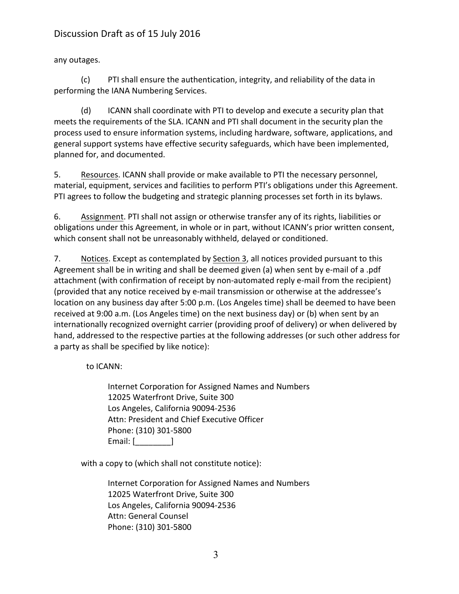any outages.

(c) PTI shall ensure the authentication, integrity, and reliability of the data in performing the IANA Numbering Services.

(d) ICANN shall coordinate with PTI to develop and execute a security plan that meets the requirements of the SLA. ICANN and PTI shall document in the security plan the process used to ensure information systems, including hardware, software, applications, and general support systems have effective security safeguards, which have been implemented, planned for, and documented.

5. Resources. ICANN shall provide or make available to PTI the necessary personnel, material, equipment, services and facilities to perform PTI's obligations under this Agreement. PTI agrees to follow the budgeting and strategic planning processes set forth in its bylaws.

6. Assignment. PTI shall not assign or otherwise transfer any of its rights, liabilities or obligations under this Agreement, in whole or in part, without ICANN's prior written consent, which consent shall not be unreasonably withheld, delayed or conditioned.

7. Notices. Except as contemplated by Section 3, all notices provided pursuant to this Agreement shall be in writing and shall be deemed given (a) when sent by e-mail of a .pdf attachment (with confirmation of receipt by non-automated reply e-mail from the recipient) (provided that any notice received by e-mail transmission or otherwise at the addressee's location on any business day after 5:00 p.m. (Los Angeles time) shall be deemed to have been received at 9:00 a.m. (Los Angeles time) on the next business day) or (b) when sent by an internationally recognized overnight carrier (providing proof of delivery) or when delivered by hand, addressed to the respective parties at the following addresses (or such other address for a party as shall be specified by like notice):

to ICANN:

Internet Corporation for Assigned Names and Numbers 12025 Waterfront Drive, Suite 300 Los Angeles, California 90094-2536 Attn: President and Chief Executive Officer Phone: (310) 301-5800 Email: [\_\_\_\_\_\_\_\_\_]

with a copy to (which shall not constitute notice):

Internet Corporation for Assigned Names and Numbers 12025 Waterfront Drive, Suite 300 Los Angeles, California 90094-2536 Attn: General Counsel Phone: (310) 301-5800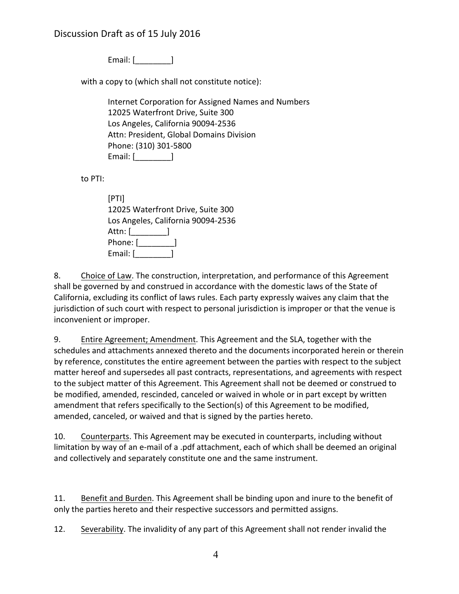Email: [\_\_\_\_\_\_\_\_\_]

with a copy to (which shall not constitute notice):

Internet Corporation for Assigned Names and Numbers 12025 Waterfront Drive, Suite 300 Los Angeles, California 90094-2536 Attn: President, Global Domains Division Phone: (310) 301-5800 Email: [\_\_\_\_\_\_\_\_\_]

to PTI: 

[PTI] 12025 Waterfront Drive, Suite 300 Los Angeles, California 90094-2536 Attn: <u>[\_\_\_\_\_\_\_\_</u>] Phone: [**\_\_\_\_\_\_\_\_\_**] Email: [

8. Choice of Law. The construction, interpretation, and performance of this Agreement shall be governed by and construed in accordance with the domestic laws of the State of California, excluding its conflict of laws rules. Each party expressly waives any claim that the jurisdiction of such court with respect to personal jurisdiction is improper or that the venue is inconvenient or improper.

9. Entire Agreement; Amendment. This Agreement and the SLA, together with the schedules and attachments annexed thereto and the documents incorporated herein or therein by reference, constitutes the entire agreement between the parties with respect to the subject matter hereof and supersedes all past contracts, representations, and agreements with respect to the subject matter of this Agreement. This Agreement shall not be deemed or construed to be modified, amended, rescinded, canceled or waived in whole or in part except by written amendment that refers specifically to the Section(s) of this Agreement to be modified, amended, canceled, or waived and that is signed by the parties hereto.

10. Counterparts. This Agreement may be executed in counterparts, including without limitation by way of an e-mail of a .pdf attachment, each of which shall be deemed an original and collectively and separately constitute one and the same instrument.

11. Benefit and Burden. This Agreement shall be binding upon and inure to the benefit of only the parties hereto and their respective successors and permitted assigns.

12. Severability. The invalidity of any part of this Agreement shall not render invalid the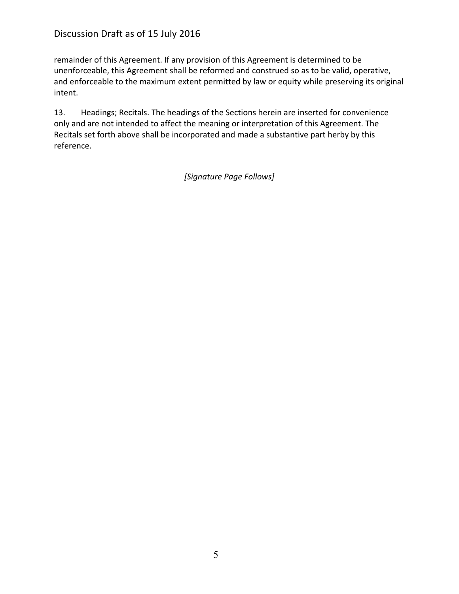remainder of this Agreement. If any provision of this Agreement is determined to be unenforceable, this Agreement shall be reformed and construed so as to be valid, operative, and enforceable to the maximum extent permitted by law or equity while preserving its original intent.

13. Headings; Recitals. The headings of the Sections herein are inserted for convenience only and are not intended to affect the meaning or interpretation of this Agreement. The Recitals set forth above shall be incorporated and made a substantive part herby by this reference.

*[Signature Page Follows]*